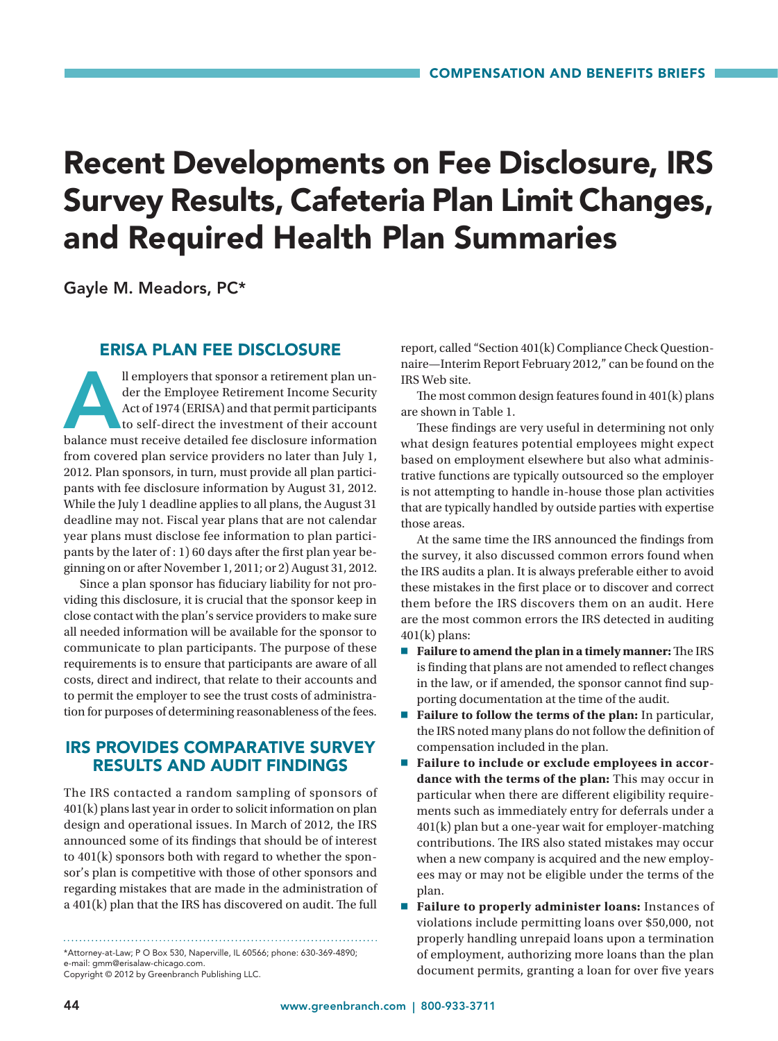# Recent Developments on Fee Disclosure, IRS Survey Results, Cafeteria Plan Limit Changes, and Required Health Plan Summaries

Gayle M. Meadors, PC\*

#### ERISA PLAN FEE DISCLOSURE

Il employers that sponsor a retirement plan under the Employee Retirement Income Security<br>Act of 1974 (ERISA) and that permit participants<br>to self-direct the investment of their account<br>balance must receive detailed fee di der the Employee Retirement Income Security Act of 1974 (ERISA) and that permit participants to self-direct the investment of their account from covered plan service providers no later than July 1, 2012. Plan sponsors, in turn, must provide all plan participants with fee disclosure information by August 31, 2012. While the July 1 deadline applies to all plans, the August 31 deadline may not. Fiscal year plans that are not calendar year plans must disclose fee information to plan participants by the later of : 1) 60 days after the first plan year beginning on or after November 1, 2011; or 2) August 31, 2012.

Since a plan sponsor has fiduciary liability for not providing this disclosure, it is crucial that the sponsor keep in close contact with the plan's service providers to make sure all needed information will be available for the sponsor to communicate to plan participants. The purpose of these requirements is to ensure that participants are aware of all costs, direct and indirect, that relate to their accounts and to permit the employer to see the trust costs of administration for purposes of determining reasonableness of the fees.

### IRS PROVIDES COMPARATIVE SURVEY RESULTS AND AUDIT FINDINGS

The IRS contacted a random sampling of sponsors of 401(k) plans last year in order to solicit information on plan design and operational issues. In March of 2012, the IRS announced some of its findings that should be of interest to 401(k) sponsors both with regard to whether the sponsor's plan is competitive with those of other sponsors and regarding mistakes that are made in the administration of a 401(k) plan that the IRS has discovered on audit. The full

\*Attorney-at-Law; P O Box 530, Naperville, IL 60566; phone: 630-369-4890; e-mail: gmm@erisalaw-chicago.com.

Copyright © 2012 by Greenbranch Publishing LLC.

report, called "Section 401(k) Compliance Check Questionnaire—Interim Report February 2012," can be found on the IRS Web site.

The most common design features found in 401(k) plans are shown in Table 1.

These findings are very useful in determining not only what design features potential employees might expect based on employment elsewhere but also what administrative functions are typically outsourced so the employer is not attempting to handle in-house those plan activities that are typically handled by outside parties with expertise those areas.

At the same time the IRS announced the findings from the survey, it also discussed common errors found when the IRS audits a plan. It is always preferable either to avoid these mistakes in the first place or to discover and correct them before the IRS discovers them on an audit. Here are the most common errors the IRS detected in auditing  $401(k)$  plans:

- 7 **Failure to amend the plan in a timely manner:** The IRS is finding that plans are not amended to reflect changes in the law, or if amended, the sponsor cannot find supporting documentation at the time of the audit.
- 7 **Failure to follow the terms of the plan:** In particular, the IRS noted many plans do not follow the definition of compensation included in the plan.
- Failure to include or exclude employees in accor**dance with the terms of the plan:** This may occur in particular when there are different eligibility requirements such as immediately entry for deferrals under a 401(k) plan but a one-year wait for employer-matching contributions. The IRS also stated mistakes may occur when a new company is acquired and the new employees may or may not be eligible under the terms of the plan.
- 7 **Failure to properly administer loans:** Instances of violations include permitting loans over \$50,000, not properly handling unrepaid loans upon a termination of employment, authorizing more loans than the plan document permits, granting a loan for over five years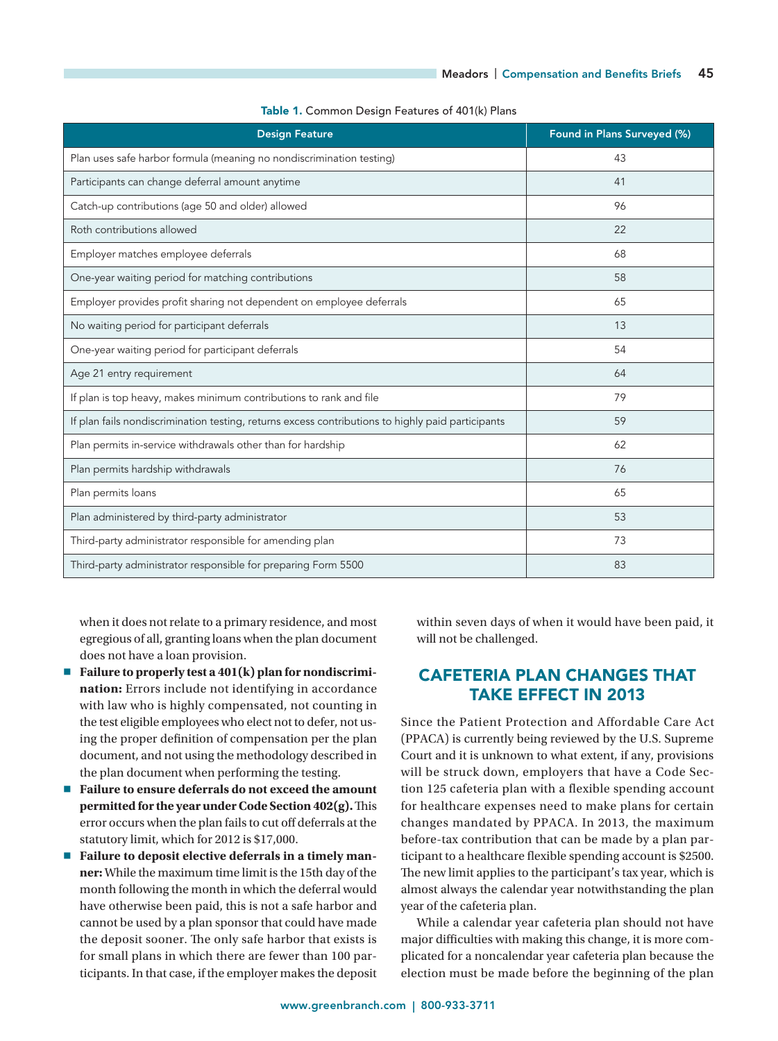| <b>Design Feature</b>                                                                             | Found in Plans Surveyed (%) |
|---------------------------------------------------------------------------------------------------|-----------------------------|
| Plan uses safe harbor formula (meaning no nondiscrimination testing)                              | 43                          |
| Participants can change deferral amount anytime                                                   | 41                          |
| Catch-up contributions (age 50 and older) allowed                                                 | 96                          |
| Roth contributions allowed                                                                        | 22                          |
| Employer matches employee deferrals                                                               | 68                          |
| One-year waiting period for matching contributions                                                | 58                          |
| Employer provides profit sharing not dependent on employee deferrals                              | 65                          |
| No waiting period for participant deferrals                                                       | 13                          |
| One-year waiting period for participant deferrals                                                 | 54                          |
| Age 21 entry requirement                                                                          | 64                          |
| If plan is top heavy, makes minimum contributions to rank and file                                | 79                          |
| If plan fails nondiscrimination testing, returns excess contributions to highly paid participants | 59                          |
| Plan permits in-service withdrawals other than for hardship                                       | 62                          |
| Plan permits hardship withdrawals                                                                 | 76                          |
| Plan permits loans                                                                                | 65                          |
| Plan administered by third-party administrator                                                    | 53                          |
| Third-party administrator responsible for amending plan                                           | 73                          |
| Third-party administrator responsible for preparing Form 5500                                     | 83                          |

Table 1. Common Design Features of 401(k) Plans

when it does not relate to a primary residence, and most egregious of all, granting loans when the plan document does not have a loan provision.

- Failure to properly test a 401(k) plan for nondiscrimi**nation:** Errors include not identifying in accordance with law who is highly compensated, not counting in the test eligible employees who elect not to defer, not using the proper definition of compensation per the plan document, and not using the methodology described in the plan document when performing the testing.
- 7 **Failure to ensure deferrals do not exceed the amount permitted for the year under Code Section 402(g).** This error occurs when the plan fails to cut off deferrals at the statutory limit, which for 2012 is \$17,000.
- Failure to deposit elective deferrals in a timely man**ner:** While the maximum time limit is the 15th day of the month following the month in which the deferral would have otherwise been paid, this is not a safe harbor and cannot be used by a plan sponsor that could have made the deposit sooner. The only safe harbor that exists is for small plans in which there are fewer than 100 participants. In that case, if the employer makes the deposit

within seven days of when it would have been paid, it will not be challenged.

### CAFETERIA PLAN CHANGES THAT TAKE EFFECT IN 2013

Since the Patient Protection and Affordable Care Act (PPACA) is currently being reviewed by the U.S. Supreme Court and it is unknown to what extent, if any, provisions will be struck down, employers that have a Code Section 125 cafeteria plan with a flexible spending account for healthcare expenses need to make plans for certain changes mandated by PPACA. In 2013, the maximum before-tax contribution that can be made by a plan participant to a healthcare flexible spending account is \$2500. The new limit applies to the participant's tax year, which is almost always the calendar year notwithstanding the plan year of the cafeteria plan.

While a calendar year cafeteria plan should not have major difficulties with making this change, it is more complicated for a noncalendar year cafeteria plan because the election must be made before the beginning of the plan